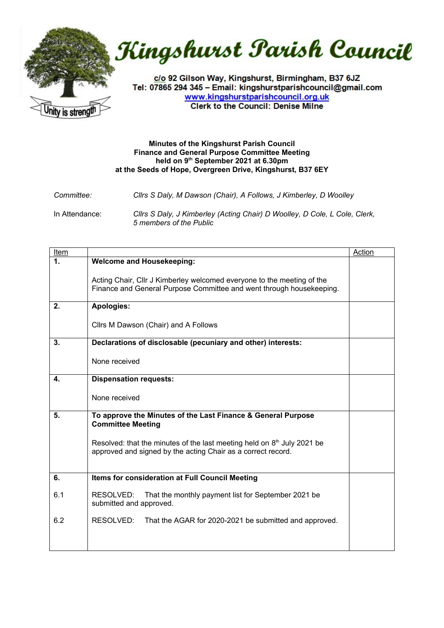



c/o 92 Gilson Way, Kingshurst, Birmingham, B37 6JZ Tel: 07865 294 345 - Email: kingshurstparishcouncil@gmail.com www.kingshurstparishcouncil.org.uk **Clerk to the Council: Denise Milne** 

## **Minutes of the Kingshurst Parish Council Finance and General Purpose Committee Meeting held on 9 th September 2021 at 6.30pm at the Seeds of Hope, Overgreen Drive, Kingshurst, B37 6EY**

| <i>Committee:</i> | Cllrs S Daly, M Dawson (Chair), A Follows, J Kimberley, D Woolley                                     |
|-------------------|-------------------------------------------------------------------------------------------------------|
| In Attendance:    | Clirs S Daly, J Kimberley (Acting Chair) D Woolley, D Cole, L Cole, Clerk,<br>5 members of the Public |

| <u>Item</u>  |                                                                                                                                                | Action |
|--------------|------------------------------------------------------------------------------------------------------------------------------------------------|--------|
| 1.           | <b>Welcome and Housekeeping:</b>                                                                                                               |        |
|              | Acting Chair, Cllr J Kimberley welcomed everyone to the meeting of the<br>Finance and General Purpose Committee and went through housekeeping. |        |
| 2.           | <b>Apologies:</b>                                                                                                                              |        |
|              | Cllrs M Dawson (Chair) and A Follows                                                                                                           |        |
| 3.           | Declarations of disclosable (pecuniary and other) interests:                                                                                   |        |
|              | None received                                                                                                                                  |        |
| $\mathbf{4}$ | <b>Dispensation requests:</b>                                                                                                                  |        |
|              | None received                                                                                                                                  |        |
| 5.           | To approve the Minutes of the Last Finance & General Purpose<br><b>Committee Meeting</b>                                                       |        |
|              | Resolved: that the minutes of the last meeting held on $8th$ July 2021 be<br>approved and signed by the acting Chair as a correct record.      |        |
| 6.           | Items for consideration at Full Council Meeting                                                                                                |        |
| 6.1          | RESOLVED:<br>That the monthly payment list for September 2021 be<br>submitted and approved.                                                    |        |
| 6.2          | RESOLVED:<br>That the AGAR for 2020-2021 be submitted and approved.                                                                            |        |